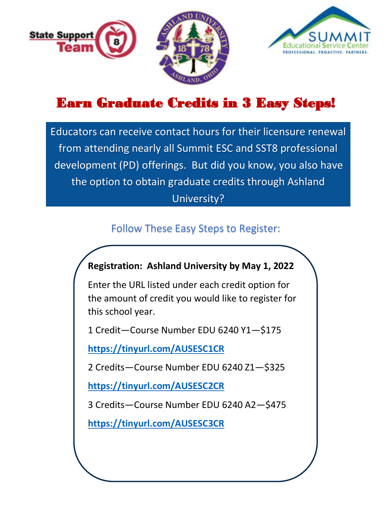



# Earn Graduate Credits in 3 Easy Steps!

Educators can receive contact hours for their licensure renewal from attending nearly all Summit ESC and SST8 professional development (PD) offerings. But did you know, you also have the option to obtain graduate credits through Ashland University?

### Follow These Easy Steps to Register:

#### **Registration: Ashland University by May 1, 2022**

Enter the URL listed under each credit option for the amount of credit you would like to register for this school year.

1 Credit—Course Number EDU 6240 Y1—\$175

**<https://tinyurl.com/AUSESC1CR>**

2 Credits—Course Number EDU 6240 Z1—\$325

**<https://tinyurl.com/AUSESC2CR>**

3 Credits—Course Number EDU 6240 A2—\$475

**<https://tinyurl.com/AUSESC3CR>**